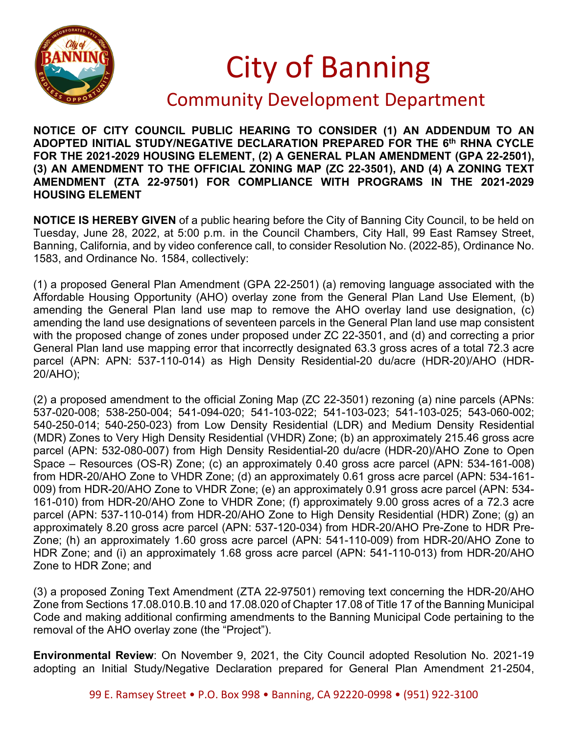

## City of Banning

## Community Development Department

**NOTICE OF CITY COUNCIL PUBLIC HEARING TO CONSIDER (1) AN ADDENDUM TO AN ADOPTED INITIAL STUDY/NEGATIVE DECLARATION PREPARED FOR THE 6th RHNA CYCLE FOR THE 2021-2029 HOUSING ELEMENT, (2) A GENERAL PLAN AMENDMENT (GPA 22-2501), (3) AN AMENDMENT TO THE OFFICIAL ZONING MAP (ZC 22-3501), AND (4) A ZONING TEXT AMENDMENT (ZTA 22-97501) FOR COMPLIANCE WITH PROGRAMS IN THE 2021-2029 HOUSING ELEMENT**

**NOTICE IS HEREBY GIVEN** of a public hearing before the City of Banning City Council, to be held on Tuesday, June 28, 2022, at 5:00 p.m. in the Council Chambers, City Hall, 99 East Ramsey Street, Banning, California, and by video conference call, to consider Resolution No. (2022-85), Ordinance No. 1583, and Ordinance No. 1584, collectively:

(1) a proposed General Plan Amendment (GPA 22-2501) (a) removing language associated with the Affordable Housing Opportunity (AHO) overlay zone from the General Plan Land Use Element, (b) amending the General Plan land use map to remove the AHO overlay land use designation, (c) amending the land use designations of seventeen parcels in the General Plan land use map consistent with the proposed change of zones under proposed under ZC 22-3501, and (d) and correcting a prior General Plan land use mapping error that incorrectly designated 63.3 gross acres of a total 72.3 acre parcel (APN: APN: 537-110-014) as High Density Residential-20 du/acre (HDR-20)/AHO (HDR-20/AHO);

(2) a proposed amendment to the official Zoning Map (ZC 22-3501) rezoning (a) nine parcels (APNs: 537-020-008; 538-250-004; 541-094-020; 541-103-022; 541-103-023; 541-103-025; 543-060-002; 540-250-014; 540-250-023) from Low Density Residential (LDR) and Medium Density Residential (MDR) Zones to Very High Density Residential (VHDR) Zone; (b) an approximately 215.46 gross acre parcel (APN: 532-080-007) from High Density Residential-20 du/acre (HDR-20)/AHO Zone to Open Space – Resources (OS-R) Zone; (c) an approximately 0.40 gross acre parcel (APN: 534-161-008) from HDR-20/AHO Zone to VHDR Zone; (d) an approximately 0.61 gross acre parcel (APN: 534-161- 009) from HDR-20/AHO Zone to VHDR Zone; (e) an approximately 0.91 gross acre parcel (APN: 534- 161-010) from HDR-20/AHO Zone to VHDR Zone; (f) approximately 9.00 gross acres of a 72.3 acre parcel (APN: 537-110-014) from HDR-20/AHO Zone to High Density Residential (HDR) Zone; (g) an approximately 8.20 gross acre parcel (APN: 537-120-034) from HDR-20/AHO Pre-Zone to HDR Pre-Zone; (h) an approximately 1.60 gross acre parcel (APN: 541-110-009) from HDR-20/AHO Zone to HDR Zone; and (i) an approximately 1.68 gross acre parcel (APN: 541-110-013) from HDR-20/AHO Zone to HDR Zone; and

(3) a proposed Zoning Text Amendment (ZTA 22-97501) removing text concerning the HDR-20/AHO Zone from Sections 17.08.010.B.10 and 17.08.020 of Chapter 17.08 of Title 17 of the Banning Municipal Code and making additional confirming amendments to the Banning Municipal Code pertaining to the removal of the AHO overlay zone (the "Project").

**Environmental Review**: On November 9, 2021, the City Council adopted Resolution No. 2021-19 adopting an Initial Study/Negative Declaration prepared for General Plan Amendment 21-2504,